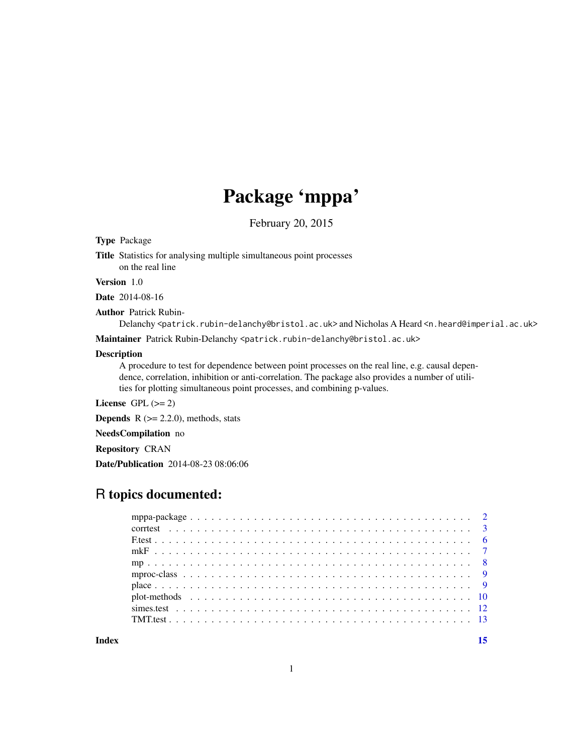## Package 'mppa'

February 20, 2015

## <span id="page-0-0"></span>Type Package

Title Statistics for analysing multiple simultaneous point processes on the real line

## Version 1.0

Date 2014-08-16

Author Patrick Rubin-

Delanchy <patrick.rubin-delanchy@bristol.ac.uk> and Nicholas A Heard <n.heard@imperial.ac.uk>

Maintainer Patrick Rubin-Delanchy <patrick.rubin-delanchy@bristol.ac.uk>

#### Description

A procedure to test for dependence between point processes on the real line, e.g. causal dependence, correlation, inhibition or anti-correlation. The package also provides a number of utilities for plotting simultaneous point processes, and combining p-values.

License GPL  $(>= 2)$ 

**Depends**  $R$  ( $>= 2.2.0$ ), methods, stats

NeedsCompilation no

Repository CRAN

Date/Publication 2014-08-23 08:06:06

## R topics documented:

**Index** [15](#page-14-0)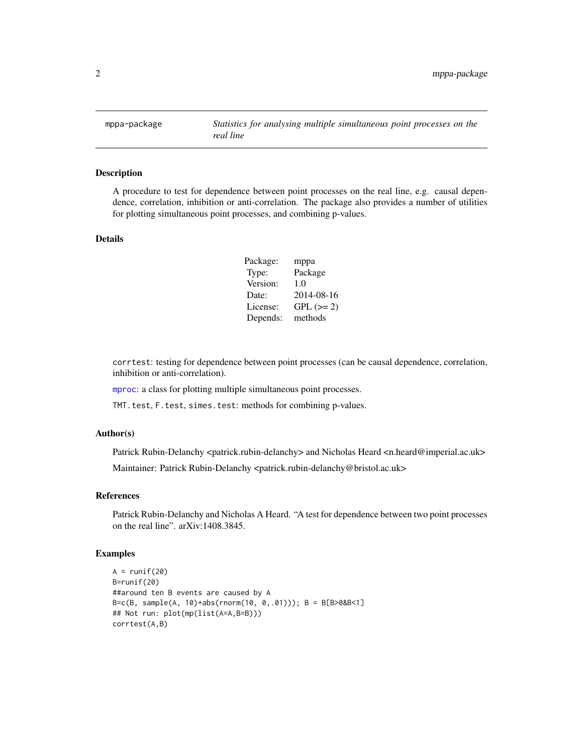<span id="page-1-0"></span>mppa-package *Statistics for analysing multiple simultaneous point processes on the real line*

## **Description**

A procedure to test for dependence between point processes on the real line, e.g. causal dependence, correlation, inhibition or anti-correlation. The package also provides a number of utilities for plotting simultaneous point processes, and combining p-values.

#### Details

| Package: | mppa        |
|----------|-------------|
| Type:    | Package     |
| Version: | 1.0         |
| Date:    | 2014-08-16  |
| License: | $GPL (= 2)$ |
| Depends: | methods     |

corrtest: testing for dependence between point processes (can be causal dependence, correlation, inhibition or anti-correlation).

[mproc](#page-8-1): a class for plotting multiple simultaneous point processes.

TMT.test, F.test, simes.test: methods for combining p-values.

#### Author(s)

Patrick Rubin-Delanchy <patrick.rubin-delanchy> and Nicholas Heard <n.heard@imperial.ac.uk>

Maintainer: Patrick Rubin-Delanchy <patrick.rubin-delanchy@bristol.ac.uk>

#### References

Patrick Rubin-Delanchy and Nicholas A Heard. "A test for dependence between two point processes on the real line". arXiv:1408.3845.

```
A = runif(20)B=runif(20)
##around ten B events are caused by A
B=c(B, sample(A, 10)+abs(rnorm(10, 0,.01))); B = B[B>0&B<1]
## Not run: plot(mp(list(A=A,B=B)))
corrtest(A,B)
```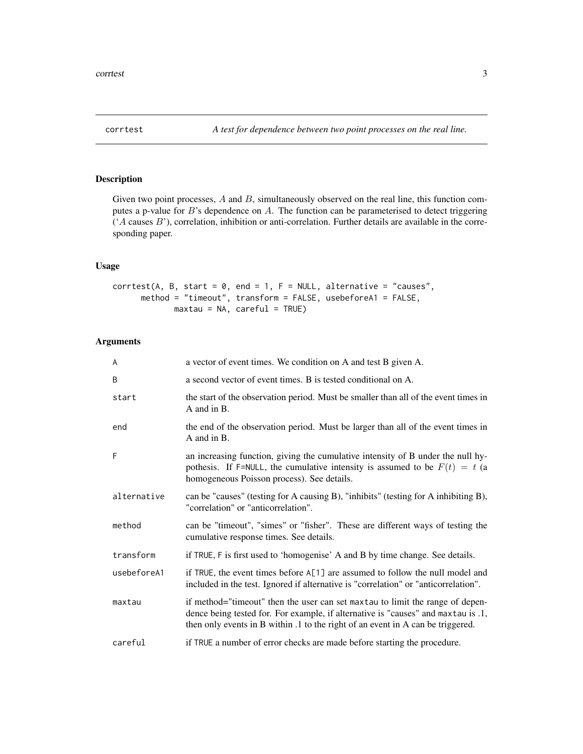## <span id="page-2-1"></span><span id="page-2-0"></span>Description

Given two point processes,  $A$  and  $B$ , simultaneously observed on the real line, this function computes a p-value for  $B$ 's dependence on  $A$ . The function can be parameterised to detect triggering  $(A \text{ causes } B')$ , correlation, inhibition or anti-correlation. Further details are available in the corresponding paper.

#### Usage

```
corrtest(A, B, start = 0, end = 1, F = NULL, alternative = "causes",
     method = "timeout", transform = FALSE, usebeforeA1 = FALSE,
            maxtau = NA, careful = TRUE)
```
#### Arguments

| A           | a vector of event times. We condition on A and test B given A.                                                                                                                                                                                        |
|-------------|-------------------------------------------------------------------------------------------------------------------------------------------------------------------------------------------------------------------------------------------------------|
| B           | a second vector of event times. B is tested conditional on A.                                                                                                                                                                                         |
| start       | the start of the observation period. Must be smaller than all of the event times in<br>A and in B.                                                                                                                                                    |
| end         | the end of the observation period. Must be larger than all of the event times in<br>A and in B.                                                                                                                                                       |
| F           | an increasing function, giving the cumulative intensity of B under the null hy-<br>pothesis. If F=NULL, the cumulative intensity is assumed to be $F(t) = t$ (a<br>homogeneous Poisson process). See details.                                         |
| alternative | can be "causes" (testing for A causing B), "inhibits" (testing for A inhibiting B),<br>"correlation" or "anticorrelation".                                                                                                                            |
| method      | can be "timeout", "simes" or "fisher". These are different ways of testing the<br>cumulative response times. See details.                                                                                                                             |
| transform   | if TRUE, F is first used to 'homogenise' A and B by time change. See details.                                                                                                                                                                         |
| usebeforeA1 | if TRUE, the event times before A[1] are assumed to follow the null model and<br>included in the test. Ignored if alternative is "correlation" or "anticorrelation".                                                                                  |
| maxtau      | if method="timeout" then the user can set maxtau to limit the range of depen-<br>dence being tested for. For example, if alternative is "causes" and maxtau is .1,<br>then only events in B within .1 to the right of an event in A can be triggered. |
| careful     | if TRUE a number of error checks are made before starting the procedure.                                                                                                                                                                              |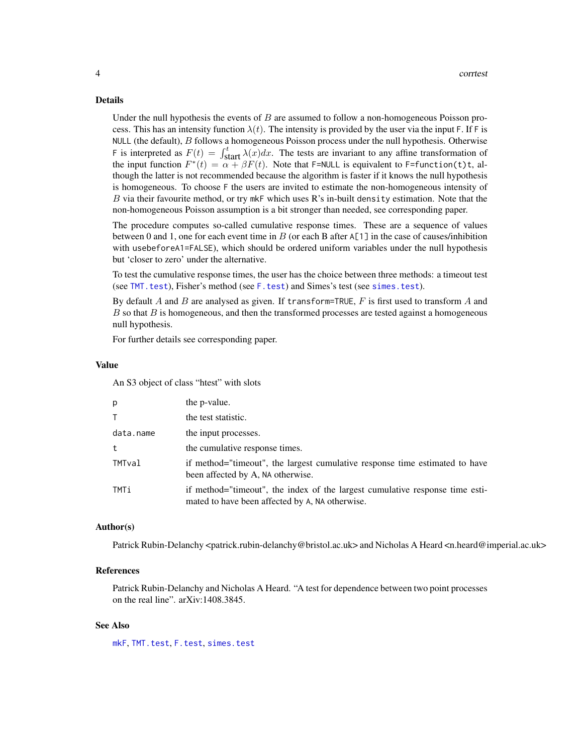#### <span id="page-3-0"></span>Details

Under the null hypothesis the events of  $B$  are assumed to follow a non-homogeneous Poisson process. This has an intensity function  $\lambda(t)$ . The intensity is provided by the user via the input F. If F is NULL (the default),  $B$  follows a homogeneous Poisson process under the null hypothesis. Otherwise F is interpreted as  $F(t) = \int_{\text{start}}^{t} \lambda(x) dx$ . The tests are invariant to any affine transformation of the input function  $F^*(t) = \alpha + \beta F(t)$ . Note that F=NULL is equivalent to F=function(t)t, although the latter is not recommended because the algorithm is faster if it knows the null hypothesis is homogeneous. To choose F the users are invited to estimate the non-homogeneous intensity of B via their favourite method, or try mkF which uses R's in-built density estimation. Note that the non-homogeneous Poisson assumption is a bit stronger than needed, see corresponding paper.

The procedure computes so-called cumulative response times. These are a sequence of values between 0 and 1, one for each event time in  $B$  (or each B after A[1] in the case of causes/inhibition with usebeforeA1=FALSE), which should be ordered uniform variables under the null hypothesis but 'closer to zero' under the alternative.

To test the cumulative response times, the user has the choice between three methods: a timeout test (see [TMT.test](#page-12-1)), Fisher's method (see [F.test](#page-5-1)) and Simes's test (see [simes.test](#page-11-1)).

By default A and B are analysed as given. If transform=TRUE, F is first used to transform A and  $B$  so that  $B$  is homogeneous, and then the transformed processes are tested against a homogeneous null hypothesis.

For further details see corresponding paper.

#### Value

An S3 object of class "htest" with slots

| D.        | the p-value.                                                                                                                    |
|-----------|---------------------------------------------------------------------------------------------------------------------------------|
|           | the test statistic.                                                                                                             |
| data.name | the input processes.                                                                                                            |
| t         | the cumulative response times.                                                                                                  |
| TMTval    | if method="timeout", the largest cumulative response time estimated to have<br>been affected by A, NA otherwise.                |
| TMTi      | if method="timeout", the index of the largest cumulative response time esti-<br>mated to have been affected by A, NA otherwise. |

#### Author(s)

Patrick Rubin-Delanchy <patrick.rubin-delanchy@bristol.ac.uk> and Nicholas A Heard <n.heard@imperial.ac.uk>

#### References

Patrick Rubin-Delanchy and Nicholas A Heard. "A test for dependence between two point processes on the real line". arXiv:1408.3845.

#### See Also

[mkF](#page-6-1), [TMT.test](#page-12-1), [F.test](#page-5-1), [simes.test](#page-11-1)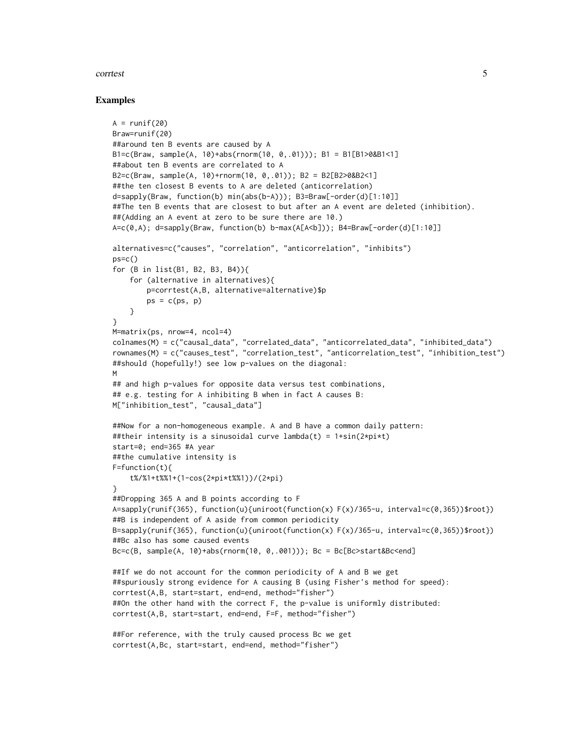#### corrtest 5

```
A = runif(20)Braw=runif(20)
##around ten B events are caused by A
B1=c(Braw, sample(A, 10)+abs(rnorm(10, 0,.01))); B1 = B1[B1>0&B1<1]
##about ten B events are correlated to A
B2=c(Braw, sample(A, 10)+rnorm(10, 0,.01)); B2 = B2[B2>0&B2<1]
##the ten closest B events to A are deleted (anticorrelation)
d=sapply(Braw, function(b) min(abs(b-A))); B3=Braw[-order(d)[1:10]]
##The ten B events that are closest to but after an A event are deleted (inhibition).
##(Adding an A event at zero to be sure there are 10.)
A=c(0,A); d=sapply(Braw, function(b) b-max(A[A<b])); B4=Braw[-order(d)[1:10]]
alternatives=c("causes", "correlation", "anticorrelation", "inhibits")
ps=c()
for (B in list(B1, B2, B3, B4)){
    for (alternative in alternatives){
        p=corrtest(A,B, alternative=alternative)$p
        ps = c(ps, p)}
}
M=matrix(ps, nrow=4, ncol=4)
colnames(M) = c("causal_data", "correlated_data", "anticorrelated_data", "inhibited_data")
rownames(M) = c("causes_test", "correlation_test", "anticorrelation_test", "inhibition_test")
##should (hopefully!) see low p-values on the diagonal:
M
## and high p-values for opposite data versus test combinations,
## e.g. testing for A inhibiting B when in fact A causes B:
M["inhibition_test", "causal_data"]
##Now for a non-homogeneous example. A and B have a common daily pattern:
##their intensity is a sinusoidal curve lambda(t) = 1+sin(2*pi*t)start=0; end=365 #A year
##the cumulative intensity is
F=function(t){
    t%/%1+t%%1+(1-cos(2*pi*t%%1))/(2*pi)
}
##Dropping 365 A and B points according to F
A=sapply(runif(365), function(u){uniroot(function(x) F(x)/365-u, interval=c(0,365))$root})
##B is independent of A aside from common periodicity
B=sapply(runif(365), function(u){uniroot(function(x) F(x)/365-u, interval=c(0,365))$root})
##Bc also has some caused events
Bc=c(B, sample(A, 10)+abs(rnorm(10, 0,.001))); Bc = Bc[Bc>start&Bc<end]
##If we do not account for the common periodicity of A and B we get
##spuriously strong evidence for A causing B (using Fisher's method for speed):
corrtest(A,B, start=start, end=end, method="fisher")
##On the other hand with the correct F, the p-value is uniformly distributed:
corrtest(A,B, start=start, end=end, F=F, method="fisher")
##For reference, with the truly caused process Bc we get
corrtest(A,Bc, start=start, end=end, method="fisher")
```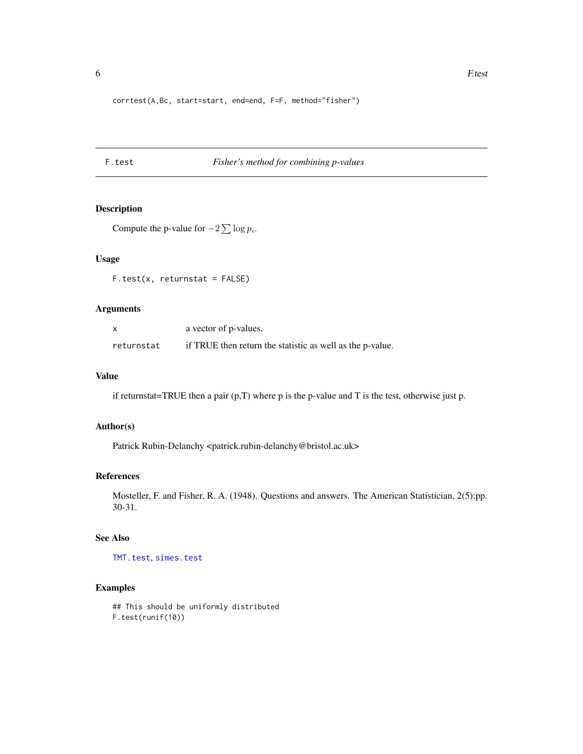```
corrtest(A,Bc, start=start, end=end, F=F, method="fisher")
```
## <span id="page-5-1"></span>F.test *Fisher's method for combining p-values*

## Description

```
Compute the p-value for -2\sum \log p_i.
```
#### Usage

 $F.test(x, returnstat = FALSE)$ 

## Arguments

| x          | a vector of p-values.                                     |
|------------|-----------------------------------------------------------|
| returnstat | if TRUE then return the statistic as well as the p-value. |

#### Value

if returnstat=TRUE then a pair (p,T) where p is the p-value and T is the test, otherwise just p.

#### Author(s)

Patrick Rubin-Delanchy <patrick.rubin-delanchy@bristol.ac.uk>

#### References

Mosteller, F. and Fisher, R. A. (1948). Questions and answers. The American Statistician, 2(5):pp. 30-31.

#### See Also

[TMT.test](#page-12-1), [simes.test](#page-11-1)

```
## This should be uniformly distributed
F.test(runif(10))
```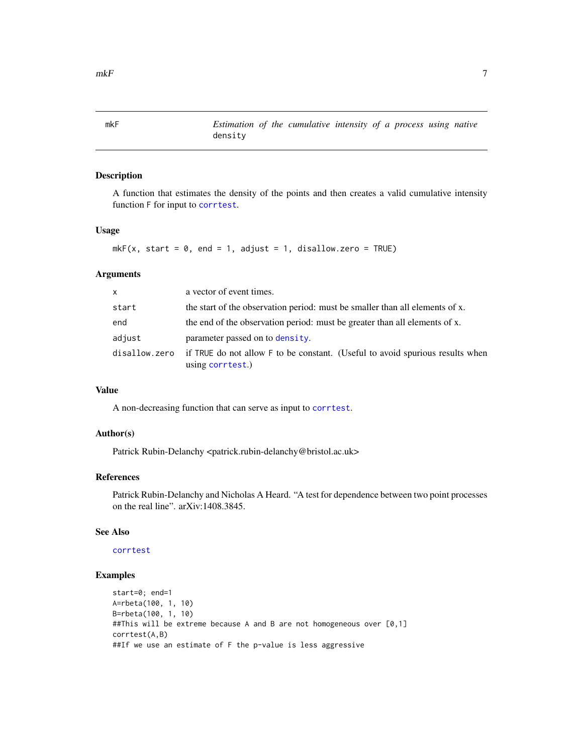<span id="page-6-1"></span><span id="page-6-0"></span>mkF *Estimation of the cumulative intensity of a process using native* density

#### Description

A function that estimates the density of the points and then creates a valid cumulative intensity function F for input to [corrtest](#page-2-1).

## Usage

```
mkF(x, start = 0, end = 1, adjust = 1, disallowzero = TRUE)
```
#### Arguments

| $\mathsf{x}$  | a vector of event times.                                                                          |
|---------------|---------------------------------------------------------------------------------------------------|
| start         | the start of the observation period: must be smaller than all elements of x.                      |
| end           | the end of the observation period: must be greater than all elements of x.                        |
| adjust        | parameter passed on to density.                                                                   |
| disallow.zero | if TRUE do not allow F to be constant. (Useful to avoid spurious results when<br>using corrtest.) |

#### Value

A non-decreasing function that can serve as input to [corrtest](#page-2-1).

## Author(s)

Patrick Rubin-Delanchy <patrick.rubin-delanchy@bristol.ac.uk>

#### References

Patrick Rubin-Delanchy and Nicholas A Heard. "A test for dependence between two point processes on the real line". arXiv:1408.3845.

## See Also

## [corrtest](#page-2-1)

```
start=0; end=1
A=rbeta(100, 1, 10)
B=rbeta(100, 1, 10)
##This will be extreme because A and B are not homogeneous over [0,1]
corrtest(A,B)
##If we use an estimate of F the p-value is less aggressive
```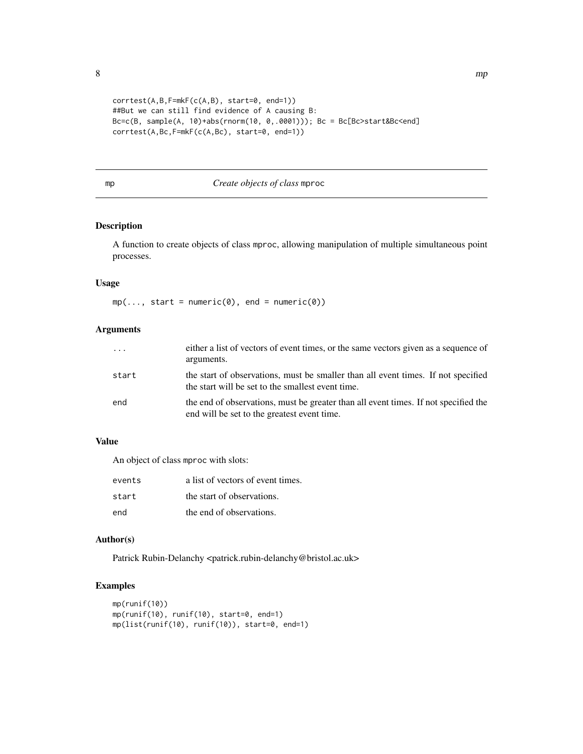```
corrtest(A,B,F=mkF(c(A,B), start=0, end=1))
##But we can still find evidence of A causing B:
Bc=c(B, sample(A, 10)+abs(rnorm(10, 0,.0001))); Bc = Bc[Bc>start&Bc<end]
corrtest(A,Bc,F=mkF(c(A,Bc), start=0, end=1))
```
## <span id="page-7-1"></span>mp *Create objects of class* mproc

## Description

A function to create objects of class mproc, allowing manipulation of multiple simultaneous point processes.

### Usage

 $mp(..., start = numeric(0), end = numeric(0))$ 

## Arguments

| $\cdot$ $\cdot$ $\cdot$ | either a list of vectors of event times, or the same vectors given as a sequence of<br>arguments.                                      |
|-------------------------|----------------------------------------------------------------------------------------------------------------------------------------|
| start                   | the start of observations, must be smaller than all event times. If not specified<br>the start will be set to the smallest event time. |
| end                     | the end of observations, must be greater than all event times. If not specified the<br>end will be set to the greatest event time.     |

## Value

An object of class mproc with slots:

| events | a list of vectors of event times. |
|--------|-----------------------------------|
| start  | the start of observations.        |
| end    | the end of observations.          |

## Author(s)

Patrick Rubin-Delanchy <patrick.rubin-delanchy@bristol.ac.uk>

```
mp(runif(10))
mp(runif(10), runif(10), start=0, end=1)
mp(list(runif(10), runif(10)), start=0, end=1)
```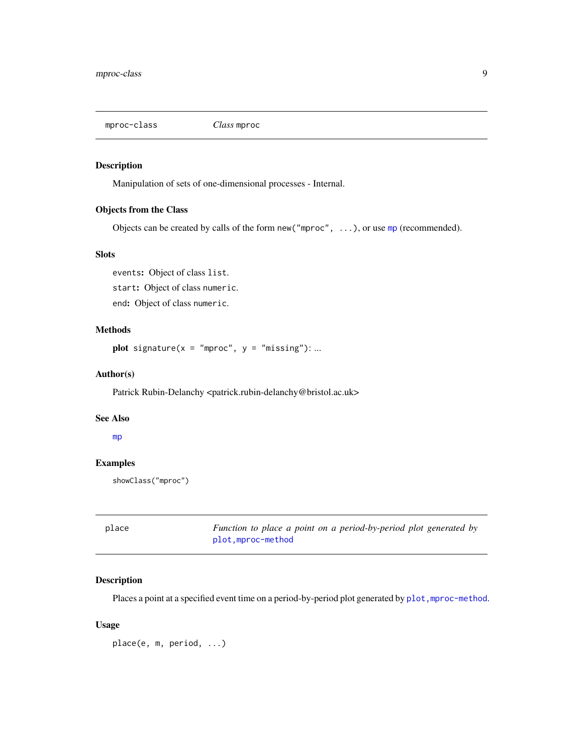<span id="page-8-1"></span><span id="page-8-0"></span>mproc-class *Class* mproc

#### Description

Manipulation of sets of one-dimensional processes - Internal.

## Objects from the Class

Objects can be created by calls of the form new ("[mp](#page-7-1)roc",  $\dots$ ), or use mp (recommended).

#### **Slots**

events: Object of class list. start: Object of class numeric. end: Object of class numeric.

#### Methods

plot signature( $x = "mproc", y = "missing": ...$ 

#### Author(s)

Patrick Rubin-Delanchy <patrick.rubin-delanchy@bristol.ac.uk>

## See Also

[mp](#page-7-1)

## Examples

showClass("mproc")

place *Function to place a point on a period-by-period plot generated by* [plot,mproc-method](#page-9-1)

#### Description

Places a point at a specified event time on a period-by-period plot generated by plot, mproc-method.

## Usage

place(e, m, period, ...)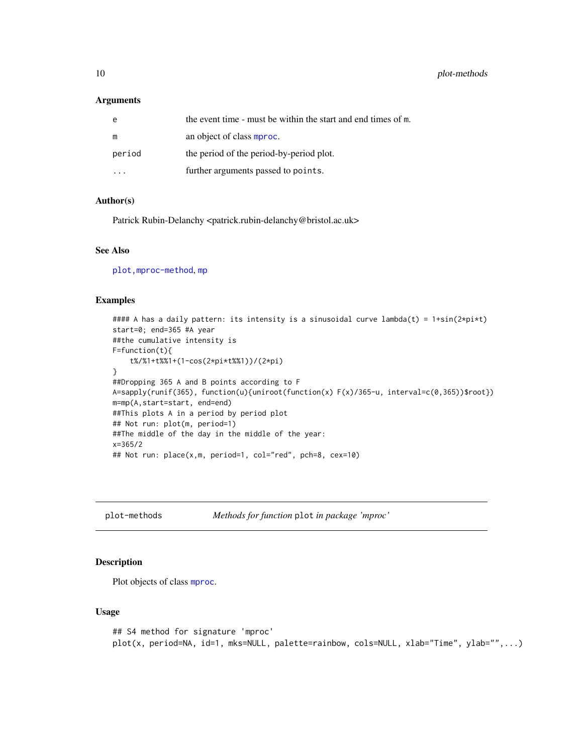#### <span id="page-9-0"></span>Arguments

| e      | the event time - must be within the start and end times of m. |
|--------|---------------------------------------------------------------|
| m      | an object of class mproc.                                     |
| period | the period of the period-by-period plot.                      |
|        | further arguments passed to points.                           |

#### Author(s)

Patrick Rubin-Delanchy <patrick.rubin-delanchy@bristol.ac.uk>

## See Also

[plot,mproc-method](#page-0-0), [mp](#page-7-1)

#### Examples

```
#### A has a daily pattern: its intensity is a sinusoidal curve lambda(t) = 1+sin(2*pi*t)start=0; end=365 #A year
##the cumulative intensity is
F=function(t){
    t%/%1+t%%1+(1-cos(2*pi*t%%1))/(2*pi)
}
##Dropping 365 A and B points according to F
A=sapply(runif(365), function(u){uniroot(function(x) F(x)/365-u, interval=c(0,365))$root})
m=mp(A,start=start, end=end)
##This plots A in a period by period plot
## Not run: plot(m, period=1)
##The middle of the day in the middle of the year:
x=365/2
## Not run: place(x,m, period=1, col="red", pch=8, cex=10)
```
plot-methods *Methods for function* plot *in package 'mproc'*

#### <span id="page-9-1"></span>Description

Plot objects of class [mproc](#page-8-1).

#### Usage

```
## S4 method for signature 'mproc'
plot(x, period=NA, id=1, mks=NULL, palette=rainbow, cols=NULL, xlab="Time", ylab="",...)
```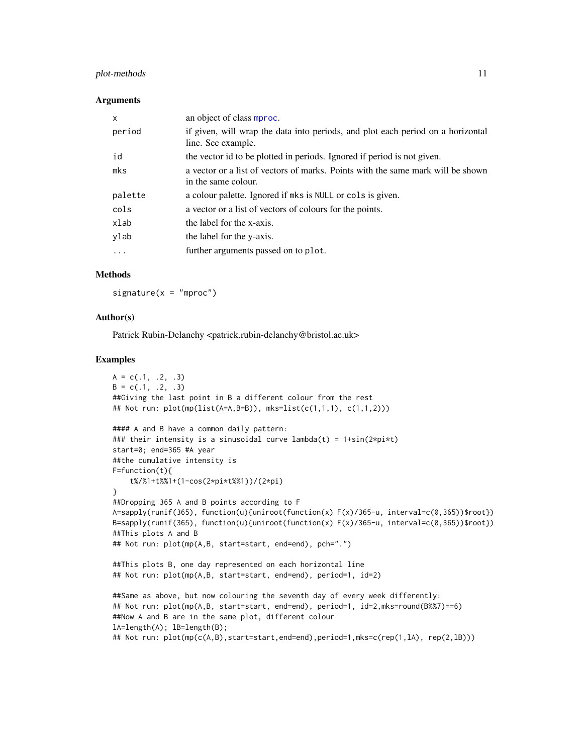## <span id="page-10-0"></span>plot-methods 11

#### **Arguments**

| $\mathsf{x}$ | an object of class mproc.                                                                              |
|--------------|--------------------------------------------------------------------------------------------------------|
| period       | if given, will wrap the data into periods, and plot each period on a horizontal<br>line. See example.  |
| id           | the vector id to be plotted in periods. Ignored if period is not given.                                |
| mks          | a vector or a list of vectors of marks. Points with the same mark will be shown<br>in the same colour. |
| palette      | a colour palette. Ignored if mks is NULL or cols is given.                                             |
| cols         | a vector or a list of vectors of colours for the points.                                               |
| xlab         | the label for the x-axis.                                                                              |
| ylab         | the label for the y-axis.                                                                              |
| .            | further arguments passed on to plot.                                                                   |

#### Methods

 $signature(x = "mproc")$ 

## Author(s)

Patrick Rubin-Delanchy <patrick.rubin-delanchy@bristol.ac.uk>

```
A = c(.1, .2, .3)B = c(.1, .2, .3)##Giving the last point in B a different colour from the rest
## Not run: plot(mp(list(A=A,B=B)), mks=list(c(1,1,1), c(1,1,2)))
#### A and B have a common daily pattern:
### their intensity is a sinusoidal curve lambda(t) = 1+sin(2*pi*t)start=0; end=365 #A year
##the cumulative intensity is
F=function(t){
    t%/%1+t%%1+(1-cos(2*pi*t%%1))/(2*pi)
}
##Dropping 365 A and B points according to F
A=sapply(runif(365), function(u){uniroot(function(x) F(x)/365-u, interval=c(0,365))$root})
B=sapply(runif(365), function(u){uniroot(function(x) F(x)/365-u, interval=c(0,365))$root})
##This plots A and B
## Not run: plot(mp(A,B, start=start, end=end), pch=".")
##This plots B, one day represented on each horizontal line
## Not run: plot(mp(A,B, start=start, end=end), period=1, id=2)
##Same as above, but now colouring the seventh day of every week differently:
## Not run: plot(mp(A,B, start=start, end=end), period=1, id=2,mks=round(B%%7)==6)
##Now A and B are in the same plot, different colour
lA=length(A); lB=length(B);
## Not run: plot(mp(c(A,B),start=start,end=end),period=1,mks=c(rep(1,lA), rep(2,lB)))
```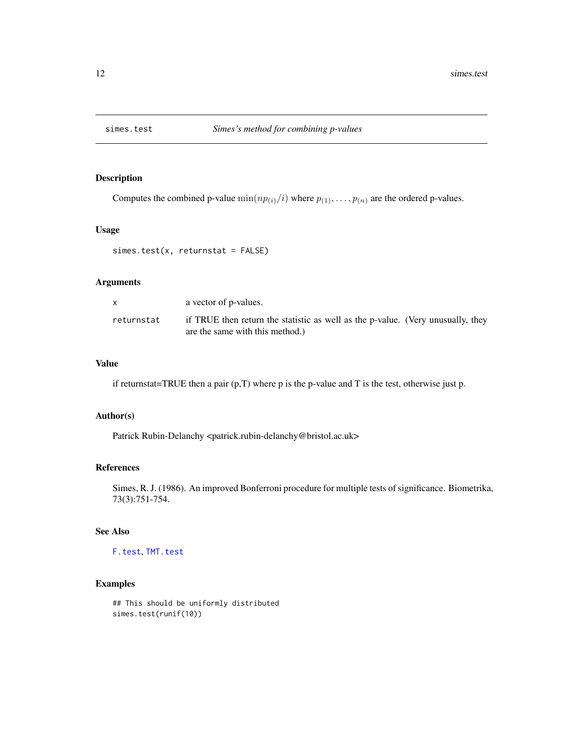<span id="page-11-1"></span><span id="page-11-0"></span>

#### Description

Computes the combined p-value  $\min(np_{(i)}/i)$  where  $p_{(1)}, \ldots, p_{(n)}$  are the ordered p-values.

## Usage

simes.test(x, returnstat = FALSE)

## Arguments

|            | a vector of p-values.                                                                                              |
|------------|--------------------------------------------------------------------------------------------------------------------|
| returnstat | if TRUE then return the statistic as well as the p-value. (Very unusually, they<br>are the same with this method.) |

## Value

if returnstat=TRUE then a pair (p,T) where p is the p-value and T is the test, otherwise just p.

#### Author(s)

Patrick Rubin-Delanchy <patrick.rubin-delanchy@bristol.ac.uk>

#### References

Simes, R. J. (1986). An improved Bonferroni procedure for multiple tests of significance. Biometrika, 73(3):751-754.

## See Also

[F.test](#page-5-1), [TMT.test](#page-12-1)

```
## This should be uniformly distributed
simes.test(runif(10))
```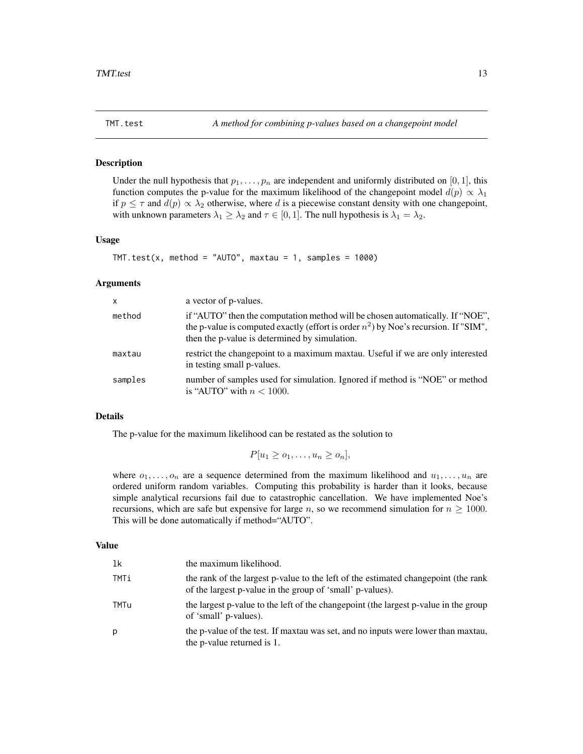<span id="page-12-1"></span><span id="page-12-0"></span>

## Description

Under the null hypothesis that  $p_1, \ldots, p_n$  are independent and uniformly distributed on [0, 1], this function computes the p-value for the maximum likelihood of the changepoint model  $d(p) \propto \lambda_1$ if  $p \leq \tau$  and  $d(p) \propto \lambda_2$  otherwise, where d is a piecewise constant density with one changepoint, with unknown parameters  $\lambda_1 \geq \lambda_2$  and  $\tau \in [0, 1]$ . The null hypothesis is  $\lambda_1 = \lambda_2$ .

#### Usage

```
TMT.test(x, method = "AUTO", maxtau = 1, samples = 1000)
```
#### Arguments

| $\times$ | a vector of p-values.                                                                                                                                                                                                    |
|----------|--------------------------------------------------------------------------------------------------------------------------------------------------------------------------------------------------------------------------|
| method   | if "AUTO" then the computation method will be chosen automatically. If "NOE",<br>the p-value is computed exactly (effort is order $n^2$ ) by Noe's recursion. If "SIM",<br>then the p-value is determined by simulation. |
| maxtau   | restrict the changepoint to a maximum maxtau. Useful if we are only interested<br>in testing small p-values.                                                                                                             |
| samples  | number of samples used for simulation. Ignored if method is "NOE" or method<br>is "AUTO" with $n < 1000$ .                                                                                                               |

#### Details

The p-value for the maximum likelihood can be restated as the solution to

$$
P[u_1 \geq o_1, \ldots, u_n \geq o_n],
$$

where  $o_1, \ldots, o_n$  are a sequence determined from the maximum likelihood and  $u_1, \ldots, u_n$  are ordered uniform random variables. Computing this probability is harder than it looks, because simple analytical recursions fail due to catastrophic cancellation. We have implemented Noe's recursions, which are safe but expensive for large n, so we recommend simulation for  $n \geq 1000$ . This will be done automatically if method="AUTO".

#### Value

| 1k   | the maximum likelihood.                                                                                                                         |
|------|-------------------------------------------------------------------------------------------------------------------------------------------------|
| TMTi | the rank of the largest p-value to the left of the estimated changepoint (the rank<br>of the largest p-value in the group of 'small' p-values). |
| TMTu | the largest p-value to the left of the changepoint (the largest p-value in the group<br>of 'small' p-values).                                   |
| р    | the p-value of the test. If maxtau was set, and no inputs were lower than maxtau,<br>the p-value returned is 1.                                 |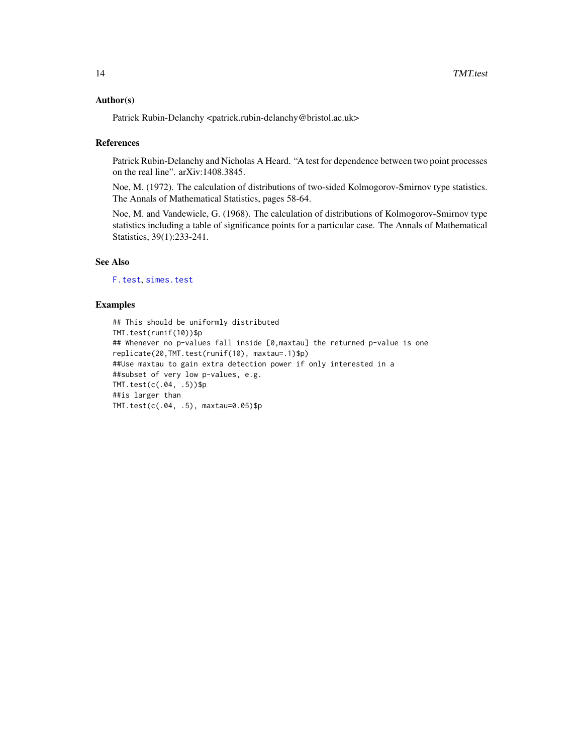#### <span id="page-13-0"></span>Author(s)

Patrick Rubin-Delanchy <patrick.rubin-delanchy@bristol.ac.uk>

#### References

Patrick Rubin-Delanchy and Nicholas A Heard. "A test for dependence between two point processes on the real line". arXiv:1408.3845.

Noe, M. (1972). The calculation of distributions of two-sided Kolmogorov-Smirnov type statistics. The Annals of Mathematical Statistics, pages 58-64.

Noe, M. and Vandewiele, G. (1968). The calculation of distributions of Kolmogorov-Smirnov type statistics including a table of significance points for a particular case. The Annals of Mathematical Statistics, 39(1):233-241.

## See Also

[F.test](#page-5-1), [simes.test](#page-11-1)

```
## This should be uniformly distributed
TMT.test(runif(10))$p
## Whenever no p-values fall inside [0,maxtau] the returned p-value is one
replicate(20,TMT.test(runif(10), maxtau=.1)$p)
##Use maxtau to gain extra detection power if only interested in a
##subset of very low p-values, e.g.
TMT.test(c(.04, .5))$p
##is larger than
TMT.test(c(.04, .5), maxtau=0.05)$p
```